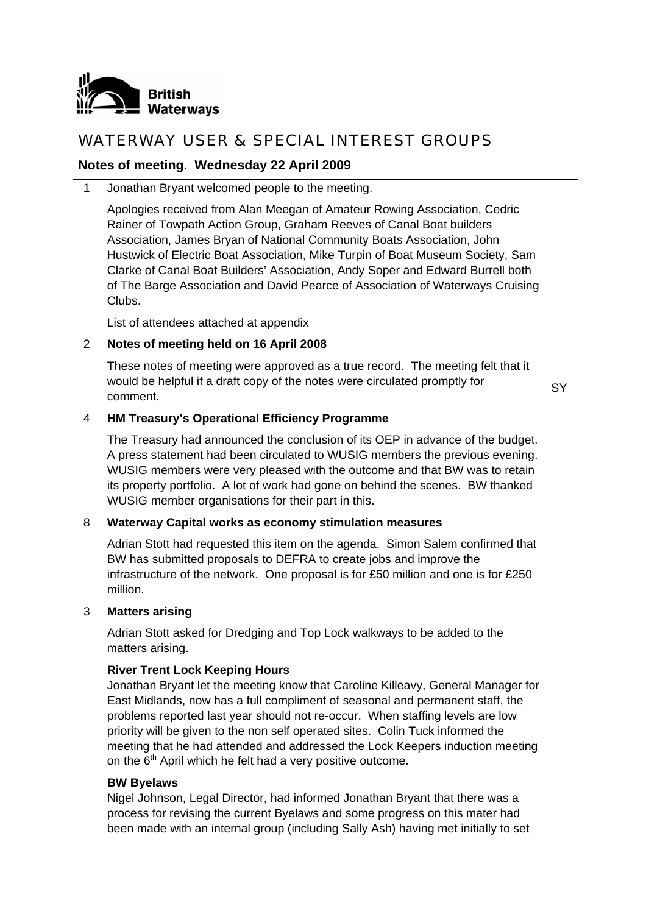

# WATERWAY USER & SPECIAL INTEREST GROUPS

# **Notes of meeting. Wednesday 22 April 2009**

1 Jonathan Bryant welcomed people to the meeting.

Apologies received from Alan Meegan of Amateur Rowing Association, Cedric Rainer of Towpath Action Group, Graham Reeves of Canal Boat builders Association, James Bryan of National Community Boats Association, John Hustwick of Electric Boat Association, Mike Turpin of Boat Museum Society, Sam Clarke of Canal Boat Builders' Association, Andy Soper and Edward Burrell both of The Barge Association and David Pearce of Association of Waterways Cruising Clubs.

List of attendees attached at appendix

# 2 **Notes of meeting held on 16 April 2008**

These notes of meeting were approved as a true record. The meeting felt that it would be helpful if a draft copy of the notes were circulated promptly for comment.

**SY** 

# 4 **HM Treasury's Operational Efficiency Programme**

The Treasury had announced the conclusion of its OEP in advance of the budget. A press statement had been circulated to WUSIG members the previous evening. WUSIG members were very pleased with the outcome and that BW was to retain its property portfolio. A lot of work had gone on behind the scenes. BW thanked WUSIG member organisations for their part in this.

# 8 **Waterway Capital works as economy stimulation measures**

Adrian Stott had requested this item on the agenda. Simon Salem confirmed that BW has submitted proposals to DEFRA to create jobs and improve the infrastructure of the network. One proposal is for £50 million and one is for £250 million.

# 3 **Matters arising**

Adrian Stott asked for Dredging and Top Lock walkways to be added to the matters arising.

# **River Trent Lock Keeping Hours**

Jonathan Bryant let the meeting know that Caroline Killeavy, General Manager for East Midlands, now has a full compliment of seasonal and permanent staff, the problems reported last year should not re-occur. When staffing levels are low priority will be given to the non self operated sites. Colin Tuck informed the meeting that he had attended and addressed the Lock Keepers induction meeting on the  $6<sup>th</sup>$  April which he felt had a very positive outcome.

# **BW Byelaws**

Nigel Johnson, Legal Director, had informed Jonathan Bryant that there was a process for revising the current Byelaws and some progress on this mater had been made with an internal group (including Sally Ash) having met initially to set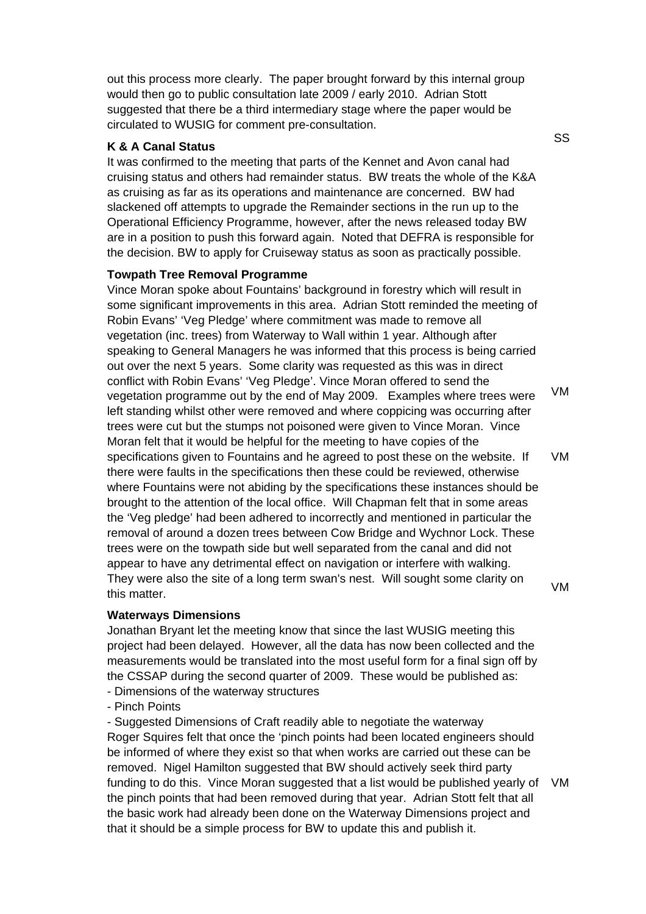out this process more clearly. The paper brought forward by this internal group would then go to public consultation late 2009 / early 2010. Adrian Stott suggested that there be a third intermediary stage where the paper would be circulated to WUSIG for comment pre-consultation.

### **K & A Canal Status**

It was confirmed to the meeting that parts of the Kennet and Avon canal had cruising status and others had remainder status. BW treats the whole of the K&A as cruising as far as its operations and maintenance are concerned. BW had slackened off attempts to upgrade the Remainder sections in the run up to the Operational Efficiency Programme, however, after the news released today BW are in a position to push this forward again. Noted that DEFRA is responsible for the decision. BW to apply for Cruiseway status as soon as practically possible.

### **Towpath Tree Removal Programme**

Vince Moran spoke about Fountains' background in forestry which will result in some significant improvements in this area. Adrian Stott reminded the meeting of Robin Evans' 'Veg Pledge' where commitment was made to remove all vegetation (inc. trees) from Waterway to Wall within 1 year. Although after speaking to General Managers he was informed that this process is being carried out over the next 5 years. Some clarity was requested as this was in direct conflict with Robin Evans' 'Veg Pledge'. Vince Moran offered to send the vegetation programme out by the end of May 2009. Examples where trees were left standing whilst other were removed and where coppicing was occurring after trees were cut but the stumps not poisoned were given to Vince Moran. Vince Moran felt that it would be helpful for the meeting to have copies of the specifications given to Fountains and he agreed to post these on the website. If there were faults in the specifications then these could be reviewed, otherwise where Fountains were not abiding by the specifications these instances should be brought to the attention of the local office. Will Chapman felt that in some areas the 'Veg pledge' had been adhered to incorrectly and mentioned in particular the removal of around a dozen trees between Cow Bridge and Wychnor Lock. These trees were on the towpath side but well separated from the canal and did not appear to have any detrimental effect on navigation or interfere with walking. They were also the site of a long term swan's nest. Will sought some clarity on this matter. VM VM VM

# **Waterways Dimensions**

Jonathan Bryant let the meeting know that since the last WUSIG meeting this project had been delayed. However, all the data has now been collected and the measurements would be translated into the most useful form for a final sign off by the CSSAP during the second quarter of 2009. These would be published as:

- Dimensions of the waterway structures
- Pinch Points

- Suggested Dimensions of Craft readily able to negotiate the waterway Roger Squires felt that once the 'pinch points had been located engineers should be informed of where they exist so that when works are carried out these can be removed. Nigel Hamilton suggested that BW should actively seek third party funding to do this. Vince Moran suggested that a list would be published yearly of the pinch points that had been removed during that year. Adrian Stott felt that all the basic work had already been done on the Waterway Dimensions project and that it should be a simple process for BW to update this and publish it. VM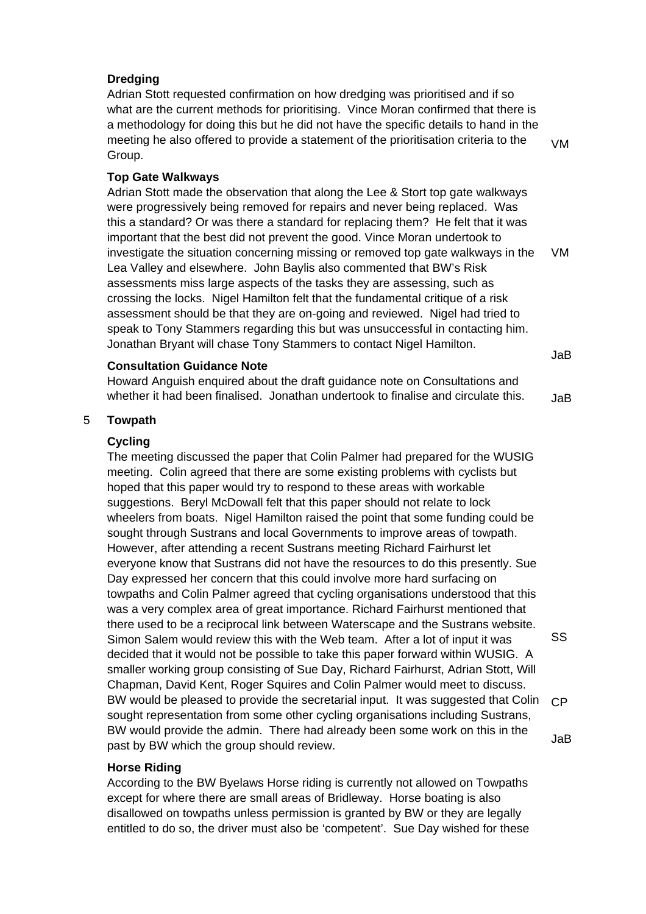# **Dredging**

Adrian Stott requested confirmation on how dredging was prioritised and if so what are the current methods for prioritising. Vince Moran confirmed that there is a methodology for doing this but he did not have the specific details to hand in the meeting he also offered to provide a statement of the prioritisation criteria to the Group.

VM

# **Top Gate Walkways**

Adrian Stott made the observation that along the Lee & Stort top gate walkways were progressively being removed for repairs and never being replaced. Was this a standard? Or was there a standard for replacing them? He felt that it was important that the best did not prevent the good. Vince Moran undertook to investigate the situation concerning missing or removed top gate walkways in the Lea Valley and elsewhere. John Baylis also commented that BW's Risk assessments miss large aspects of the tasks they are assessing, such as crossing the locks. Nigel Hamilton felt that the fundamental critique of a risk assessment should be that they are on-going and reviewed. Nigel had tried to speak to Tony Stammers regarding this but was unsuccessful in contacting him. Jonathan Bryant will chase Tony Stammers to contact Nigel Hamilton. VM JaB

# **Consultation Guidance Note**

Howard Anguish enquired about the draft guidance note on Consultations and whether it had been finalised. Jonathan undertook to finalise and circulate this. JaB

### 5 **Towpath**

### **Cycling**

The meeting discussed the paper that Colin Palmer had prepared for the WUSIG meeting. Colin agreed that there are some existing problems with cyclists but hoped that this paper would try to respond to these areas with workable suggestions. Beryl McDowall felt that this paper should not relate to lock wheelers from boats. Nigel Hamilton raised the point that some funding could be sought through Sustrans and local Governments to improve areas of towpath. However, after attending a recent Sustrans meeting Richard Fairhurst let everyone know that Sustrans did not have the resources to do this presently. Sue Day expressed her concern that this could involve more hard surfacing on towpaths and Colin Palmer agreed that cycling organisations understood that this was a very complex area of great importance. Richard Fairhurst mentioned that there used to be a reciprocal link between Waterscape and the Sustrans website. Simon Salem would review this with the Web team. After a lot of input it was decided that it would not be possible to take this paper forward within WUSIG. A smaller working group consisting of Sue Day, Richard Fairhurst, Adrian Stott, Will Chapman, David Kent, Roger Squires and Colin Palmer would meet to discuss. BW would be pleased to provide the secretarial input. It was suggested that Colin sought representation from some other cycling organisations including Sustrans, BW would provide the admin. There had already been some work on this in the past by BW which the group should review.

# **Horse Riding**

According to the BW Byelaws Horse riding is currently not allowed on Towpaths except for where there are small areas of Bridleway. Horse boating is also disallowed on towpaths unless permission is granted by BW or they are legally entitled to do so, the driver must also be 'competent'. Sue Day wished for these SS

CP

#### JaB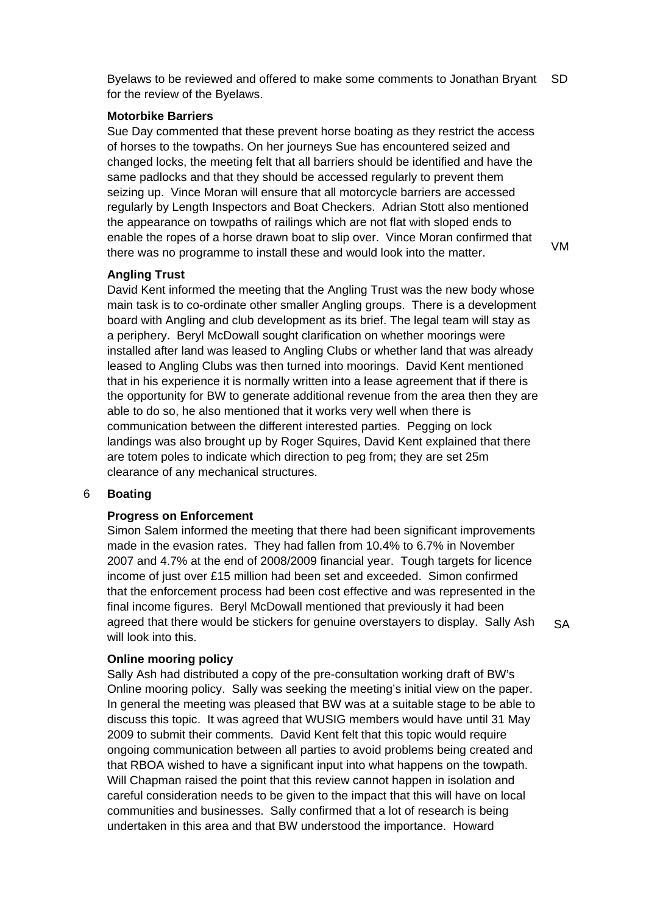Byelaws to be reviewed and offered to make some comments to Jonathan Bryant for the review of the Byelaws. SD

### **Motorbike Barriers**

Sue Day commented that these prevent horse boating as they restrict the access of horses to the towpaths. On her journeys Sue has encountered seized and changed locks, the meeting felt that all barriers should be identified and have the same padlocks and that they should be accessed regularly to prevent them seizing up. Vince Moran will ensure that all motorcycle barriers are accessed regularly by Length Inspectors and Boat Checkers. Adrian Stott also mentioned the appearance on towpaths of railings which are not flat with sloped ends to enable the ropes of a horse drawn boat to slip over. Vince Moran confirmed that there was no programme to install these and would look into the matter.

# **Angling Trust**

David Kent informed the meeting that the Angling Trust was the new body whose main task is to co-ordinate other smaller Angling groups. There is a development board with Angling and club development as its brief. The legal team will stay as a periphery. Beryl McDowall sought clarification on whether moorings were installed after land was leased to Angling Clubs or whether land that was already leased to Angling Clubs was then turned into moorings. David Kent mentioned that in his experience it is normally written into a lease agreement that if there is the opportunity for BW to generate additional revenue from the area then they are able to do so, he also mentioned that it works very well when there is communication between the different interested parties. Pegging on lock landings was also brought up by Roger Squires, David Kent explained that there are totem poles to indicate which direction to peg from; they are set 25m clearance of any mechanical structures.

# 6 **Boating**

### **Progress on Enforcement**

Simon Salem informed the meeting that there had been significant improvements made in the evasion rates. They had fallen from 10.4% to 6.7% in November 2007 and 4.7% at the end of 2008/2009 financial year. Tough targets for licence income of just over £15 million had been set and exceeded. Simon confirmed that the enforcement process had been cost effective and was represented in the final income figures. Beryl McDowall mentioned that previously it had been agreed that there would be stickers for genuine overstayers to display. Sally Ash will look into this.

# **Online mooring policy**

Sally Ash had distributed a copy of the pre-consultation working draft of BW's Online mooring policy. Sally was seeking the meeting's initial view on the paper. In general the meeting was pleased that BW was at a suitable stage to be able to discuss this topic. It was agreed that WUSIG members would have until 31 May 2009 to submit their comments. David Kent felt that this topic would require ongoing communication between all parties to avoid problems being created and that RBOA wished to have a significant input into what happens on the towpath. Will Chapman raised the point that this review cannot happen in isolation and careful consideration needs to be given to the impact that this will have on local communities and businesses. Sally confirmed that a lot of research is being undertaken in this area and that BW understood the importance. Howard

SA

VM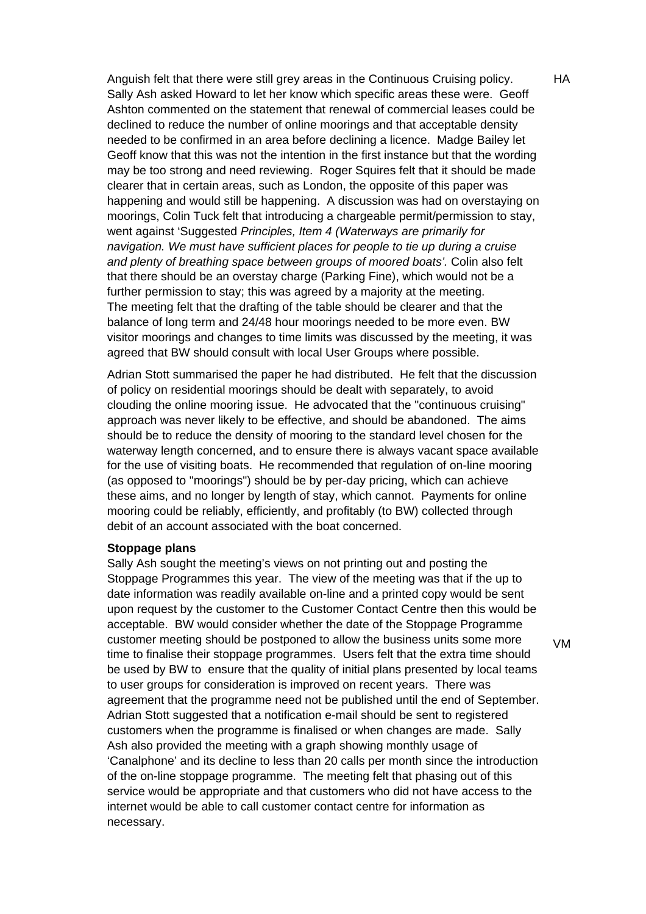Anguish felt that there were still grey areas in the Continuous Cruising policy. Sally Ash asked Howard to let her know which specific areas these were. Geoff Ashton commented on the statement that renewal of commercial leases could be declined to reduce the number of online moorings and that acceptable density needed to be confirmed in an area before declining a licence. Madge Bailey let Geoff know that this was not the intention in the first instance but that the wording may be too strong and need reviewing. Roger Squires felt that it should be made clearer that in certain areas, such as London, the opposite of this paper was happening and would still be happening. A discussion was had on overstaying on moorings, Colin Tuck felt that introducing a chargeable permit/permission to stay, went against 'Suggested *Principles, Item 4 (Waterways are primarily for navigation. We must have sufficient places for people to tie up during a cruise and plenty of breathing space between groups of moored boats'.* Colin also felt that there should be an overstay charge (Parking Fine), which would not be a further permission to stay; this was agreed by a majority at the meeting. The meeting felt that the drafting of the table should be clearer and that the balance of long term and 24/48 hour moorings needed to be more even. BW visitor moorings and changes to time limits was discussed by the meeting, it was agreed that BW should consult with local User Groups where possible.

Adrian Stott summarised the paper he had distributed. He felt that the discussion of policy on residential moorings should be dealt with separately, to avoid clouding the online mooring issue. He advocated that the "continuous cruising" approach was never likely to be effective, and should be abandoned. The aims should be to reduce the density of mooring to the standard level chosen for the waterway length concerned, and to ensure there is always vacant space available for the use of visiting boats. He recommended that regulation of on-line mooring (as opposed to "moorings") should be by per-day pricing, which can achieve these aims, and no longer by length of stay, which cannot. Payments for online mooring could be reliably, efficiently, and profitably (to BW) collected through debit of an account associated with the boat concerned.

### **Stoppage plans**

Sally Ash sought the meeting's views on not printing out and posting the Stoppage Programmes this year. The view of the meeting was that if the up to date information was readily available on-line and a printed copy would be sent upon request by the customer to the Customer Contact Centre then this would be acceptable. BW would consider whether the date of the Stoppage Programme customer meeting should be postponed to allow the business units some more time to finalise their stoppage programmes. Users felt that the extra time should be used by BW to ensure that the quality of initial plans presented by local teams to user groups for consideration is improved on recent years. There was agreement that the programme need not be published until the end of September. Adrian Stott suggested that a notification e-mail should be sent to registered customers when the programme is finalised or when changes are made. Sally Ash also provided the meeting with a graph showing monthly usage of 'Canalphone' and its decline to less than 20 calls per month since the introduction of the on-line stoppage programme. The meeting felt that phasing out of this service would be appropriate and that customers who did not have access to the internet would be able to call customer contact centre for information as necessary.

VM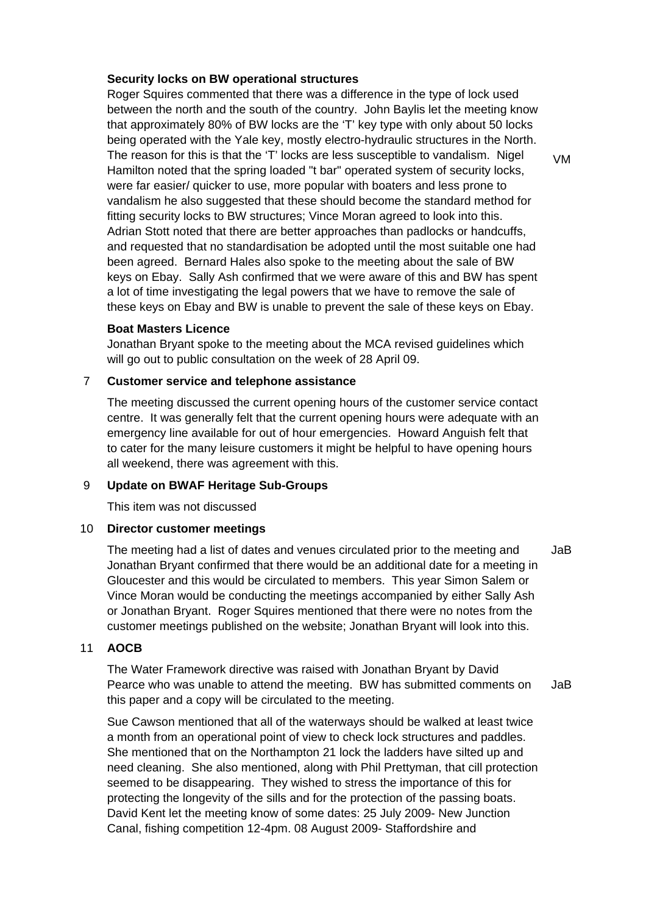# **Security locks on BW operational structures**

Roger Squires commented that there was a difference in the type of lock used between the north and the south of the country. John Baylis let the meeting know that approximately 80% of BW locks are the 'T' key type with only about 50 locks being operated with the Yale key, mostly electro-hydraulic structures in the North. The reason for this is that the 'T' locks are less susceptible to vandalism. Nigel Hamilton noted that the spring loaded "t bar" operated system of security locks, were far easier/ quicker to use, more popular with boaters and less prone to vandalism he also suggested that these should become the standard method for fitting security locks to BW structures; Vince Moran agreed to look into this. Adrian Stott noted that there are better approaches than padlocks or handcuffs, and requested that no standardisation be adopted until the most suitable one had been agreed. Bernard Hales also spoke to the meeting about the sale of BW keys on Ebay. Sally Ash confirmed that we were aware of this and BW has spent a lot of time investigating the legal powers that we have to remove the sale of these keys on Ebay and BW is unable to prevent the sale of these keys on Ebay.

# **Boat Masters Licence**

Jonathan Bryant spoke to the meeting about the MCA revised guidelines which will go out to public consultation on the week of 28 April 09.

# 7 **Customer service and telephone assistance**

The meeting discussed the current opening hours of the customer service contact centre. It was generally felt that the current opening hours were adequate with an emergency line available for out of hour emergencies. Howard Anguish felt that to cater for the many leisure customers it might be helpful to have opening hours all weekend, there was agreement with this.

# 9 **Update on BWAF Heritage Sub-Groups**

This item was not discussed

# 10 **Director customer meetings**

The meeting had a list of dates and venues circulated prior to the meeting and Jonathan Bryant confirmed that there would be an additional date for a meeting in Gloucester and this would be circulated to members. This year Simon Salem or Vince Moran would be conducting the meetings accompanied by either Sally Ash or Jonathan Bryant. Roger Squires mentioned that there were no notes from the customer meetings published on the website; Jonathan Bryant will look into this. JaB

# 11 **AOCB**

The Water Framework directive was raised with Jonathan Bryant by David Pearce who was unable to attend the meeting. BW has submitted comments on this paper and a copy will be circulated to the meeting. JaB

Sue Cawson mentioned that all of the waterways should be walked at least twice a month from an operational point of view to check lock structures and paddles. She mentioned that on the Northampton 21 lock the ladders have silted up and need cleaning. She also mentioned, along with Phil Prettyman, that cill protection seemed to be disappearing. They wished to stress the importance of this for protecting the longevity of the sills and for the protection of the passing boats. David Kent let the meeting know of some dates: 25 July 2009- New Junction Canal, fishing competition 12-4pm. 08 August 2009- Staffordshire and

VM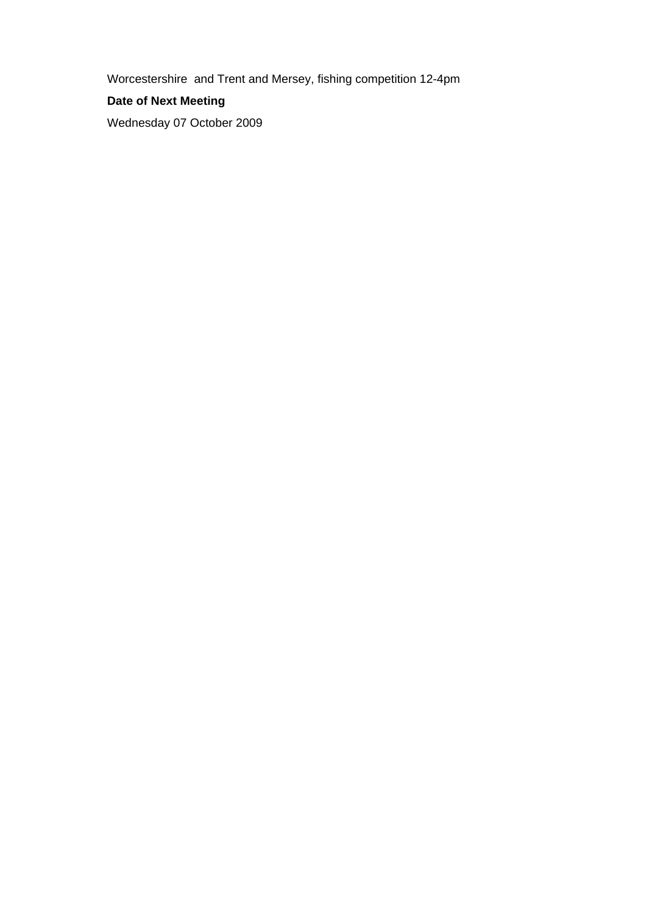Worcestershire and Trent and Mersey, fishing competition 12-4pm

# **Date of Next Meeting**

Wednesday 07 October 2009